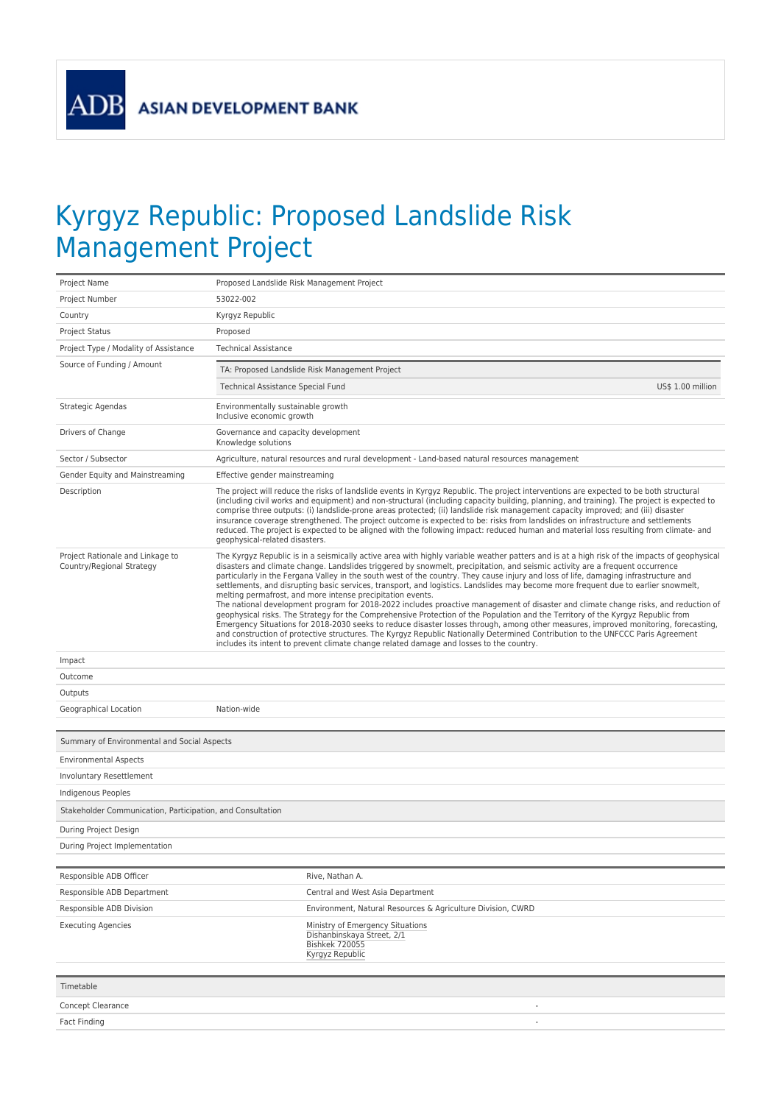**ADB** 

## Kyrgyz Republic: Proposed Landslide Risk Management Project

| Project Name                                                  | Proposed Landslide Risk Management Project                                                                                                                                                                                                                                                                                                                                                                                                                                                                                                                                                                                                                                                                                                                                                                                                                                                                                                                                                                                                                                                                                                                                                                                                                                |  |
|---------------------------------------------------------------|---------------------------------------------------------------------------------------------------------------------------------------------------------------------------------------------------------------------------------------------------------------------------------------------------------------------------------------------------------------------------------------------------------------------------------------------------------------------------------------------------------------------------------------------------------------------------------------------------------------------------------------------------------------------------------------------------------------------------------------------------------------------------------------------------------------------------------------------------------------------------------------------------------------------------------------------------------------------------------------------------------------------------------------------------------------------------------------------------------------------------------------------------------------------------------------------------------------------------------------------------------------------------|--|
| Project Number                                                | 53022-002                                                                                                                                                                                                                                                                                                                                                                                                                                                                                                                                                                                                                                                                                                                                                                                                                                                                                                                                                                                                                                                                                                                                                                                                                                                                 |  |
| Country                                                       | Kyrgyz Republic                                                                                                                                                                                                                                                                                                                                                                                                                                                                                                                                                                                                                                                                                                                                                                                                                                                                                                                                                                                                                                                                                                                                                                                                                                                           |  |
| <b>Project Status</b>                                         | Proposed                                                                                                                                                                                                                                                                                                                                                                                                                                                                                                                                                                                                                                                                                                                                                                                                                                                                                                                                                                                                                                                                                                                                                                                                                                                                  |  |
| Project Type / Modality of Assistance                         | <b>Technical Assistance</b>                                                                                                                                                                                                                                                                                                                                                                                                                                                                                                                                                                                                                                                                                                                                                                                                                                                                                                                                                                                                                                                                                                                                                                                                                                               |  |
| Source of Funding / Amount                                    | TA: Proposed Landslide Risk Management Project                                                                                                                                                                                                                                                                                                                                                                                                                                                                                                                                                                                                                                                                                                                                                                                                                                                                                                                                                                                                                                                                                                                                                                                                                            |  |
|                                                               | US\$ 1.00 million<br>Technical Assistance Special Fund                                                                                                                                                                                                                                                                                                                                                                                                                                                                                                                                                                                                                                                                                                                                                                                                                                                                                                                                                                                                                                                                                                                                                                                                                    |  |
| Strategic Agendas                                             | Environmentally sustainable growth<br>Inclusive economic growth                                                                                                                                                                                                                                                                                                                                                                                                                                                                                                                                                                                                                                                                                                                                                                                                                                                                                                                                                                                                                                                                                                                                                                                                           |  |
| Drivers of Change                                             | Governance and capacity development<br>Knowledge solutions                                                                                                                                                                                                                                                                                                                                                                                                                                                                                                                                                                                                                                                                                                                                                                                                                                                                                                                                                                                                                                                                                                                                                                                                                |  |
| Sector / Subsector                                            | Agriculture, natural resources and rural development - Land-based natural resources management                                                                                                                                                                                                                                                                                                                                                                                                                                                                                                                                                                                                                                                                                                                                                                                                                                                                                                                                                                                                                                                                                                                                                                            |  |
| Gender Equity and Mainstreaming                               | Effective gender mainstreaming                                                                                                                                                                                                                                                                                                                                                                                                                                                                                                                                                                                                                                                                                                                                                                                                                                                                                                                                                                                                                                                                                                                                                                                                                                            |  |
| Description                                                   | The project will reduce the risks of landslide events in Kyrgyz Republic. The project interventions are expected to be both structural<br>(including civil works and equipment) and non-structural (including capacity building, planning, and training). The project is expected to<br>comprise three outputs: (i) landslide-prone areas protected; (ii) landslide risk management capacity improved; and (iii) disaster<br>insurance coverage strengthened. The project outcome is expected to be: risks from landslides on infrastructure and settlements<br>reduced. The project is expected to be aligned with the following impact: reduced human and material loss resulting from climate- and<br>geophysical-related disasters.                                                                                                                                                                                                                                                                                                                                                                                                                                                                                                                                   |  |
| Project Rationale and Linkage to<br>Country/Regional Strategy | The Kyrgyz Republic is in a seismically active area with highly variable weather patters and is at a high risk of the impacts of geophysical<br>disasters and climate change. Landslides triggered by snowmelt, precipitation, and seismic activity are a frequent occurrence<br>particularly in the Fergana Valley in the south west of the country. They cause injury and loss of life, damaging infrastructure and<br>settlements, and disrupting basic services, transport, and logistics. Landslides may become more frequent due to earlier snowmelt,<br>melting permafrost, and more intense precipitation events.<br>The national development program for 2018-2022 includes proactive management of disaster and climate change risks, and reduction of<br>geophysical risks. The Strategy for the Comprehensive Protection of the Population and the Territory of the Kyrgyz Republic from<br>Emergency Situations for 2018-2030 seeks to reduce disaster losses through, among other measures, improved monitoring, forecasting,<br>and construction of protective structures. The Kyrgyz Republic Nationally Determined Contribution to the UNFCCC Paris Agreement<br>includes its intent to prevent climate change related damage and losses to the country. |  |
| Impact                                                        |                                                                                                                                                                                                                                                                                                                                                                                                                                                                                                                                                                                                                                                                                                                                                                                                                                                                                                                                                                                                                                                                                                                                                                                                                                                                           |  |
| Outcome                                                       |                                                                                                                                                                                                                                                                                                                                                                                                                                                                                                                                                                                                                                                                                                                                                                                                                                                                                                                                                                                                                                                                                                                                                                                                                                                                           |  |
| Outputs                                                       |                                                                                                                                                                                                                                                                                                                                                                                                                                                                                                                                                                                                                                                                                                                                                                                                                                                                                                                                                                                                                                                                                                                                                                                                                                                                           |  |
| Geographical Location                                         | Nation-wide                                                                                                                                                                                                                                                                                                                                                                                                                                                                                                                                                                                                                                                                                                                                                                                                                                                                                                                                                                                                                                                                                                                                                                                                                                                               |  |
| Summary of Environmental and Social Aspects                   |                                                                                                                                                                                                                                                                                                                                                                                                                                                                                                                                                                                                                                                                                                                                                                                                                                                                                                                                                                                                                                                                                                                                                                                                                                                                           |  |
| <b>Environmental Aspects</b>                                  |                                                                                                                                                                                                                                                                                                                                                                                                                                                                                                                                                                                                                                                                                                                                                                                                                                                                                                                                                                                                                                                                                                                                                                                                                                                                           |  |
| Involuntary Resettlement                                      |                                                                                                                                                                                                                                                                                                                                                                                                                                                                                                                                                                                                                                                                                                                                                                                                                                                                                                                                                                                                                                                                                                                                                                                                                                                                           |  |
| Indigenous Peoples                                            |                                                                                                                                                                                                                                                                                                                                                                                                                                                                                                                                                                                                                                                                                                                                                                                                                                                                                                                                                                                                                                                                                                                                                                                                                                                                           |  |
| Stakeholder Communication, Participation, and Consultation    |                                                                                                                                                                                                                                                                                                                                                                                                                                                                                                                                                                                                                                                                                                                                                                                                                                                                                                                                                                                                                                                                                                                                                                                                                                                                           |  |
| During Project Design                                         |                                                                                                                                                                                                                                                                                                                                                                                                                                                                                                                                                                                                                                                                                                                                                                                                                                                                                                                                                                                                                                                                                                                                                                                                                                                                           |  |
| During Project Implementation                                 |                                                                                                                                                                                                                                                                                                                                                                                                                                                                                                                                                                                                                                                                                                                                                                                                                                                                                                                                                                                                                                                                                                                                                                                                                                                                           |  |
|                                                               |                                                                                                                                                                                                                                                                                                                                                                                                                                                                                                                                                                                                                                                                                                                                                                                                                                                                                                                                                                                                                                                                                                                                                                                                                                                                           |  |
| Responsible ADB Officer                                       | Rive. Nathan A.                                                                                                                                                                                                                                                                                                                                                                                                                                                                                                                                                                                                                                                                                                                                                                                                                                                                                                                                                                                                                                                                                                                                                                                                                                                           |  |
| Responsible ADB Department                                    | Central and West Asia Department                                                                                                                                                                                                                                                                                                                                                                                                                                                                                                                                                                                                                                                                                                                                                                                                                                                                                                                                                                                                                                                                                                                                                                                                                                          |  |
| Responsible ADB Division                                      | Environment, Natural Resources & Agriculture Division, CWRD                                                                                                                                                                                                                                                                                                                                                                                                                                                                                                                                                                                                                                                                                                                                                                                                                                                                                                                                                                                                                                                                                                                                                                                                               |  |
| <b>Executing Agencies</b>                                     | Ministry of Emergency Situations<br>Dishanbinskaya Street, 2/1<br><b>Bishkek 720055</b><br>Kyrgyz Republic                                                                                                                                                                                                                                                                                                                                                                                                                                                                                                                                                                                                                                                                                                                                                                                                                                                                                                                                                                                                                                                                                                                                                                |  |
| Timetable                                                     |                                                                                                                                                                                                                                                                                                                                                                                                                                                                                                                                                                                                                                                                                                                                                                                                                                                                                                                                                                                                                                                                                                                                                                                                                                                                           |  |
|                                                               |                                                                                                                                                                                                                                                                                                                                                                                                                                                                                                                                                                                                                                                                                                                                                                                                                                                                                                                                                                                                                                                                                                                                                                                                                                                                           |  |
| Concept Clearance                                             |                                                                                                                                                                                                                                                                                                                                                                                                                                                                                                                                                                                                                                                                                                                                                                                                                                                                                                                                                                                                                                                                                                                                                                                                                                                                           |  |